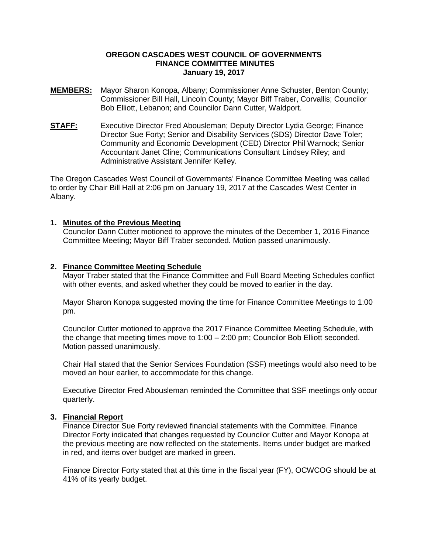# **OREGON CASCADES WEST COUNCIL OF GOVERNMENTS FINANCE COMMITTEE MINUTES January 19, 2017**

- **MEMBERS:** Mayor Sharon Konopa, Albany; Commissioner Anne Schuster, Benton County; Commissioner Bill Hall, Lincoln County; Mayor Biff Traber, Corvallis; Councilor Bob Elliott, Lebanon; and Councilor Dann Cutter, Waldport.
- **STAFF:** Executive Director Fred Abousleman; Deputy Director Lydia George; Finance Director Sue Forty; Senior and Disability Services (SDS) Director Dave Toler; Community and Economic Development (CED) Director Phil Warnock; Senior Accountant Janet Cline; Communications Consultant Lindsey Riley; and Administrative Assistant Jennifer Kelley.

The Oregon Cascades West Council of Governments' Finance Committee Meeting was called to order by Chair Bill Hall at 2:06 pm on January 19, 2017 at the Cascades West Center in Albany.

# **1. Minutes of the Previous Meeting**

Councilor Dann Cutter motioned to approve the minutes of the December 1, 2016 Finance Committee Meeting; Mayor Biff Traber seconded. Motion passed unanimously.

# **2. Finance Committee Meeting Schedule**

Mayor Traber stated that the Finance Committee and Full Board Meeting Schedules conflict with other events, and asked whether they could be moved to earlier in the day.

Mayor Sharon Konopa suggested moving the time for Finance Committee Meetings to 1:00 pm.

Councilor Cutter motioned to approve the 2017 Finance Committee Meeting Schedule, with the change that meeting times move to 1:00 – 2:00 pm; Councilor Bob Elliott seconded. Motion passed unanimously.

Chair Hall stated that the Senior Services Foundation (SSF) meetings would also need to be moved an hour earlier, to accommodate for this change.

Executive Director Fred Abousleman reminded the Committee that SSF meetings only occur quarterly.

# **3. Financial Report**

Finance Director Sue Forty reviewed financial statements with the Committee. Finance Director Forty indicated that changes requested by Councilor Cutter and Mayor Konopa at the previous meeting are now reflected on the statements. Items under budget are marked in red, and items over budget are marked in green.

Finance Director Forty stated that at this time in the fiscal year (FY), OCWCOG should be at 41% of its yearly budget.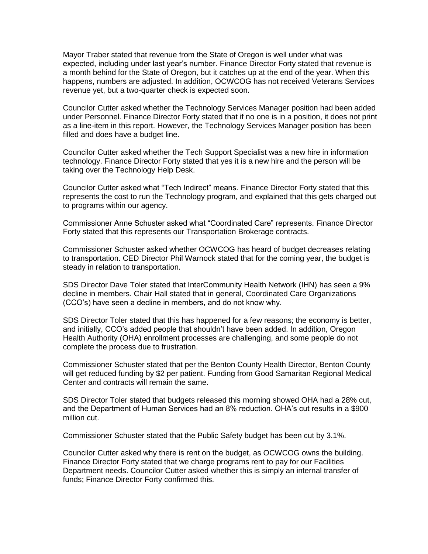Mayor Traber stated that revenue from the State of Oregon is well under what was expected, including under last year's number. Finance Director Forty stated that revenue is a month behind for the State of Oregon, but it catches up at the end of the year. When this happens, numbers are adjusted. In addition, OCWCOG has not received Veterans Services revenue yet, but a two-quarter check is expected soon.

Councilor Cutter asked whether the Technology Services Manager position had been added under Personnel. Finance Director Forty stated that if no one is in a position, it does not print as a line-item in this report. However, the Technology Services Manager position has been filled and does have a budget line.

Councilor Cutter asked whether the Tech Support Specialist was a new hire in information technology. Finance Director Forty stated that yes it is a new hire and the person will be taking over the Technology Help Desk.

Councilor Cutter asked what "Tech Indirect" means. Finance Director Forty stated that this represents the cost to run the Technology program, and explained that this gets charged out to programs within our agency.

Commissioner Anne Schuster asked what "Coordinated Care" represents. Finance Director Forty stated that this represents our Transportation Brokerage contracts.

Commissioner Schuster asked whether OCWCOG has heard of budget decreases relating to transportation. CED Director Phil Warnock stated that for the coming year, the budget is steady in relation to transportation.

SDS Director Dave Toler stated that InterCommunity Health Network (IHN) has seen a 9% decline in members. Chair Hall stated that in general, Coordinated Care Organizations (CCO's) have seen a decline in members, and do not know why.

SDS Director Toler stated that this has happened for a few reasons; the economy is better, and initially, CCO's added people that shouldn't have been added. In addition, Oregon Health Authority (OHA) enrollment processes are challenging, and some people do not complete the process due to frustration.

Commissioner Schuster stated that per the Benton County Health Director, Benton County will get reduced funding by \$2 per patient. Funding from Good Samaritan Regional Medical Center and contracts will remain the same.

SDS Director Toler stated that budgets released this morning showed OHA had a 28% cut, and the Department of Human Services had an 8% reduction. OHA's cut results in a \$900 million cut.

Commissioner Schuster stated that the Public Safety budget has been cut by 3.1%.

Councilor Cutter asked why there is rent on the budget, as OCWCOG owns the building. Finance Director Forty stated that we charge programs rent to pay for our Facilities Department needs. Councilor Cutter asked whether this is simply an internal transfer of funds; Finance Director Forty confirmed this.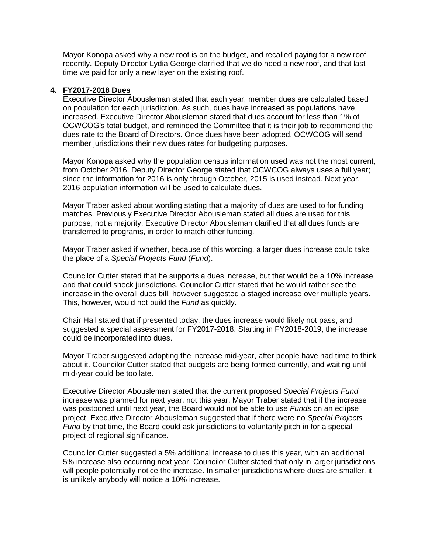Mayor Konopa asked why a new roof is on the budget, and recalled paying for a new roof recently. Deputy Director Lydia George clarified that we do need a new roof, and that last time we paid for only a new layer on the existing roof.

# **4. FY2017-2018 Dues**

Executive Director Abousleman stated that each year, member dues are calculated based on population for each jurisdiction. As such, dues have increased as populations have increased. Executive Director Abousleman stated that dues account for less than 1% of OCWCOG's total budget, and reminded the Committee that it is their job to recommend the dues rate to the Board of Directors. Once dues have been adopted, OCWCOG will send member jurisdictions their new dues rates for budgeting purposes.

Mayor Konopa asked why the population census information used was not the most current, from October 2016. Deputy Director George stated that OCWCOG always uses a full year; since the information for 2016 is only through October, 2015 is used instead. Next year, 2016 population information will be used to calculate dues.

Mayor Traber asked about wording stating that a majority of dues are used to for funding matches. Previously Executive Director Abousleman stated all dues are used for this purpose, not a majority. Executive Director Abousleman clarified that all dues funds are transferred to programs, in order to match other funding.

Mayor Traber asked if whether, because of this wording, a larger dues increase could take the place of a *Special Projects Fund* (*Fund*).

Councilor Cutter stated that he supports a dues increase, but that would be a 10% increase, and that could shock jurisdictions. Councilor Cutter stated that he would rather see the increase in the overall dues bill, however suggested a staged increase over multiple years. This, however, would not build the *Fund* as quickly.

Chair Hall stated that if presented today, the dues increase would likely not pass, and suggested a special assessment for FY2017-2018. Starting in FY2018-2019, the increase could be incorporated into dues.

Mayor Traber suggested adopting the increase mid-year, after people have had time to think about it. Councilor Cutter stated that budgets are being formed currently, and waiting until mid-year could be too late.

Executive Director Abousleman stated that the current proposed *Special Projects Fund* increase was planned for next year, not this year. Mayor Traber stated that if the increase was postponed until next year, the Board would not be able to use *Funds* on an eclipse project. Executive Director Abousleman suggested that if there were no *Special Projects Fund* by that time, the Board could ask jurisdictions to voluntarily pitch in for a special project of regional significance.

Councilor Cutter suggested a 5% additional increase to dues this year, with an additional 5% increase also occurring next year. Councilor Cutter stated that only in larger jurisdictions will people potentially notice the increase. In smaller jurisdictions where dues are smaller, it is unlikely anybody will notice a 10% increase.